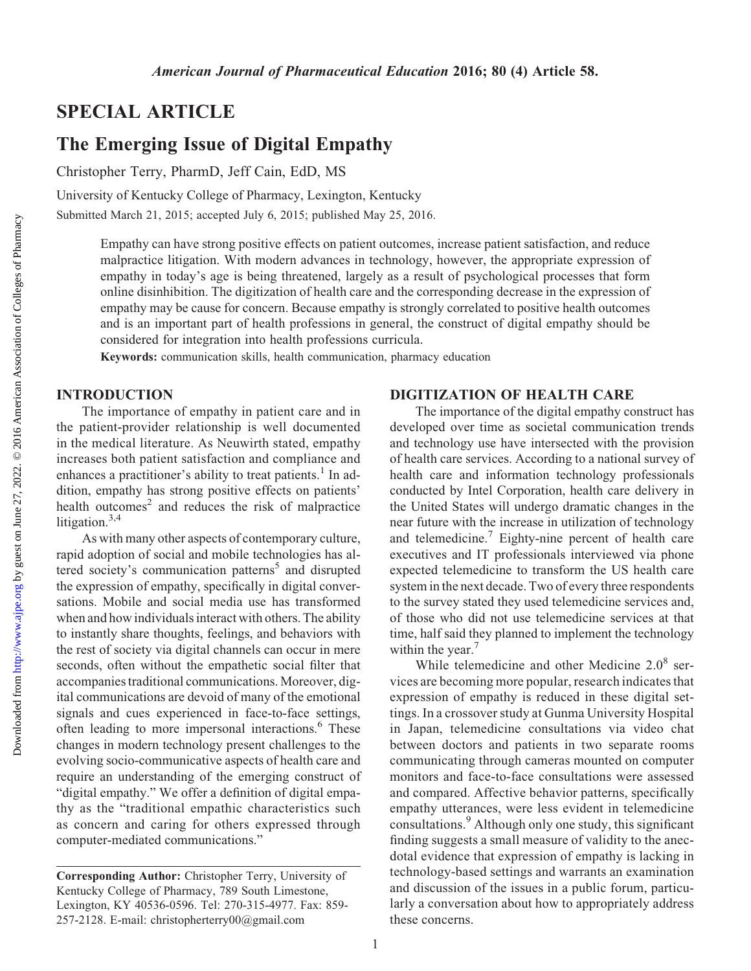## SPECIAL ARTICLE

# The Emerging Issue of Digital Empathy

Christopher Terry, PharmD, Jeff Cain, EdD, MS

University of Kentucky College of Pharmacy, Lexington, Kentucky

Submitted March 21, 2015; accepted July 6, 2015; published May 25, 2016.

Empathy can have strong positive effects on patient outcomes, increase patient satisfaction, and reduce malpractice litigation. With modern advances in technology, however, the appropriate expression of empathy in today's age is being threatened, largely as a result of psychological processes that form online disinhibition. The digitization of health care and the corresponding decrease in the expression of empathy may be cause for concern. Because empathy is strongly correlated to positive health outcomes and is an important part of health professions in general, the construct of digital empathy should be considered for integration into health professions curricula.

Keywords: communication skills, health communication, pharmacy education

#### INTRODUCTION

The importance of empathy in patient care and in the patient-provider relationship is well documented in the medical literature. As Neuwirth stated, empathy increases both patient satisfaction and compliance and enhances a practitioner's ability to treat patients.<sup>1</sup> In addition, empathy has strong positive effects on patients' health outcomes $2$  and reduces the risk of malpractice litigation.<sup>3,4</sup>

As with many other aspects of contemporary culture, rapid adoption of social and mobile technologies has altered society's communication patterns<sup>5</sup> and disrupted the expression of empathy, specifically in digital conversations. Mobile and social media use has transformed when and how individuals interact with others. The ability to instantly share thoughts, feelings, and behaviors with the rest of society via digital channels can occur in mere seconds, often without the empathetic social filter that accompanies traditional communications. Moreover, digital communications are devoid of many of the emotional signals and cues experienced in face-to-face settings, often leading to more impersonal interactions.<sup>6</sup> These changes in modern technology present challenges to the evolving socio-communicative aspects of health care and require an understanding of the emerging construct of "digital empathy." We offer a definition of digital empathy as the "traditional empathic characteristics such as concern and caring for others expressed through computer-mediated communications."

### DIGITIZATION OF HEALTH CARE

The importance of the digital empathy construct has developed over time as societal communication trends and technology use have intersected with the provision of health care services. According to a national survey of health care and information technology professionals conducted by Intel Corporation, health care delivery in the United States will undergo dramatic changes in the near future with the increase in utilization of technology and telemedicine.<sup>7</sup> Eighty-nine percent of health care executives and IT professionals interviewed via phone expected telemedicine to transform the US health care system in the next decade. Two of every three respondents to the survey stated they used telemedicine services and, of those who did not use telemedicine services at that time, half said they planned to implement the technology within the year. $<sup>7</sup>$ </sup>

While telemedicine and other Medicine  $2.0<sup>8</sup>$  services are becoming more popular, research indicates that expression of empathy is reduced in these digital settings. In a crossover study at Gunma University Hospital in Japan, telemedicine consultations via video chat between doctors and patients in two separate rooms communicating through cameras mounted on computer monitors and face-to-face consultations were assessed and compared. Affective behavior patterns, specifically empathy utterances, were less evident in telemedicine consultations.<sup>9</sup> Although only one study, this significant finding suggests a small measure of validity to the anecdotal evidence that expression of empathy is lacking in technology-based settings and warrants an examination and discussion of the issues in a public forum, particularly a conversation about how to appropriately address these concerns.

Corresponding Author: Christopher Terry, University of Kentucky College of Pharmacy, 789 South Limestone, Lexington, KY 40536-0596. Tel: 270-315-4977. Fax: 859- 257-2128. E-mail: [christopherterry00@gmail.com](mailto:christopherterry00@gmail.com)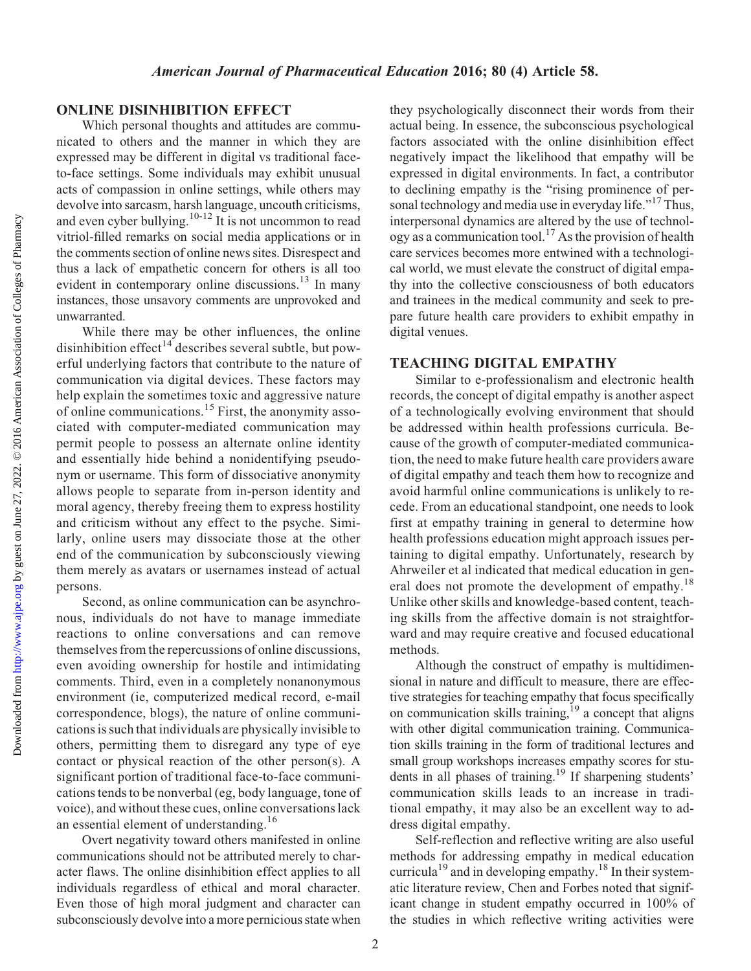## ONLINE DISINHIBITION EFFECT

Which personal thoughts and attitudes are communicated to others and the manner in which they are expressed may be different in digital vs traditional faceto-face settings. Some individuals may exhibit unusual acts of compassion in online settings, while others may devolve into sarcasm, harsh language, uncouth criticisms, and even cyber bullying.<sup>10-12</sup> It is not uncommon to read vitriol-filled remarks on social media applications or in the comments section of online news sites. Disrespect and thus a lack of empathetic concern for others is all too evident in contemporary online discussions.<sup>13</sup> In many instances, those unsavory comments are unprovoked and unwarranted.

While there may be other influences, the online disinhibition effect<sup> $14$ </sup> describes several subtle, but powerful underlying factors that contribute to the nature of communication via digital devices. These factors may help explain the sometimes toxic and aggressive nature of online communications.<sup>15</sup> First, the anonymity associated with computer-mediated communication may permit people to possess an alternate online identity and essentially hide behind a nonidentifying pseudonym or username. This form of dissociative anonymity allows people to separate from in-person identity and moral agency, thereby freeing them to express hostility and criticism without any effect to the psyche. Similarly, online users may dissociate those at the other end of the communication by subconsciously viewing them merely as avatars or usernames instead of actual persons.

Second, as online communication can be asynchronous, individuals do not have to manage immediate reactions to online conversations and can remove themselves from the repercussions of online discussions, even avoiding ownership for hostile and intimidating comments. Third, even in a completely nonanonymous environment (ie, computerized medical record, e-mail correspondence, blogs), the nature of online communications is such that individuals are physically invisible to others, permitting them to disregard any type of eye contact or physical reaction of the other person(s). A significant portion of traditional face-to-face communications tends to be nonverbal (eg, body language, tone of voice), and without these cues, online conversations lack an essential element of understanding.<sup>16</sup>

Overt negativity toward others manifested in online communications should not be attributed merely to character flaws. The online disinhibition effect applies to all individuals regardless of ethical and moral character. Even those of high moral judgment and character can subconsciously devolve into a more pernicious state when

they psychologically disconnect their words from their actual being. In essence, the subconscious psychological factors associated with the online disinhibition effect negatively impact the likelihood that empathy will be expressed in digital environments. In fact, a contributor to declining empathy is the "rising prominence of personal technology and media use in everyday life."<sup>17</sup> Thus, interpersonal dynamics are altered by the use of technol- $\alpha$  as a communication tool.<sup>17</sup> As the provision of health care services becomes more entwined with a technological world, we must elevate the construct of digital empathy into the collective consciousness of both educators and trainees in the medical community and seek to prepare future health care providers to exhibit empathy in digital venues.

## TEACHING DIGITAL EMPATHY

Similar to e-professionalism and electronic health records, the concept of digital empathy is another aspect of a technologically evolving environment that should be addressed within health professions curricula. Because of the growth of computer-mediated communication, the need to make future health care providers aware of digital empathy and teach them how to recognize and avoid harmful online communications is unlikely to recede. From an educational standpoint, one needs to look first at empathy training in general to determine how health professions education might approach issues pertaining to digital empathy. Unfortunately, research by Ahrweiler et al indicated that medical education in general does not promote the development of empathy.<sup>18</sup> Unlike other skills and knowledge-based content, teaching skills from the affective domain is not straightforward and may require creative and focused educational methods.

Although the construct of empathy is multidimensional in nature and difficult to measure, there are effective strategies for teaching empathy that focus specifically on communication skills training,<sup>19</sup> a concept that aligns with other digital communication training. Communication skills training in the form of traditional lectures and small group workshops increases empathy scores for students in all phases of training.<sup>19</sup> If sharpening students' communication skills leads to an increase in traditional empathy, it may also be an excellent way to address digital empathy.

Self-reflection and reflective writing are also useful methods for addressing empathy in medical education curricula<sup>19</sup> and in developing empathy.<sup>18</sup> In their systematic literature review, Chen and Forbes noted that significant change in student empathy occurred in 100% of the studies in which reflective writing activities were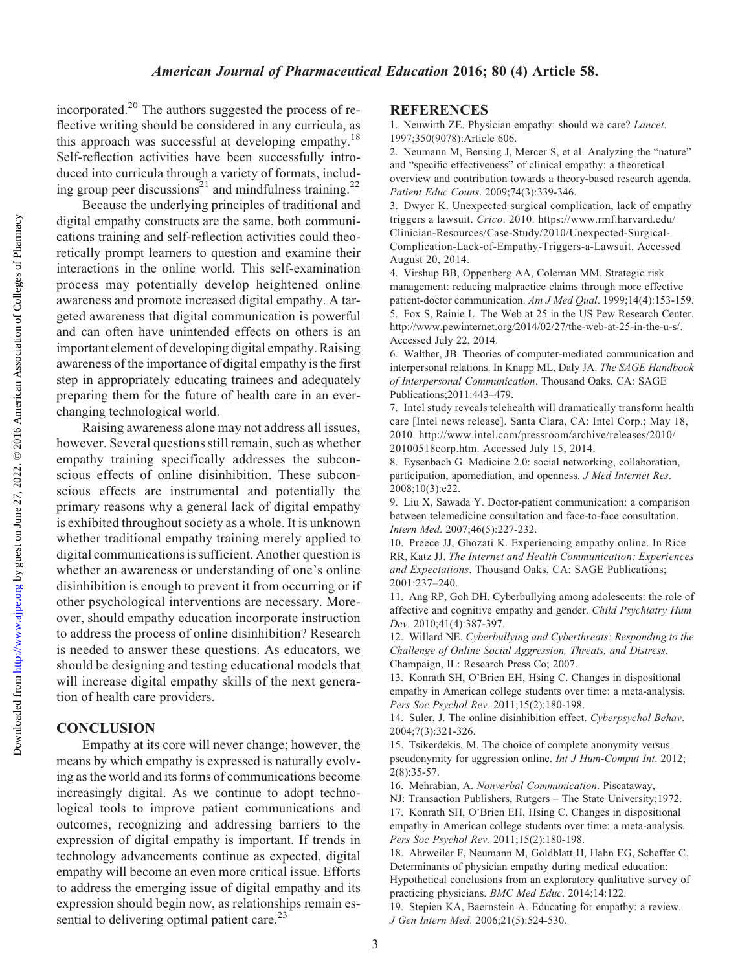#### American Journal of Pharmaceutical Education 2016; 80 (4) Article 58.

incorporated.20 The authors suggested the process of reflective writing should be considered in any curricula, as this approach was successful at developing empathy.<sup>18</sup> Self-reflection activities have been successfully introduced into curricula through a variety of formats, including group peer discussions<sup>21</sup> and mindfulness training.<sup>22</sup>

Because the underlying principles of traditional and digital empathy constructs are the same, both communications training and self-reflection activities could theoretically prompt learners to question and examine their interactions in the online world. This self-examination process may potentially develop heightened online awareness and promote increased digital empathy. A targeted awareness that digital communication is powerful and can often have unintended effects on others is an important element of developing digital empathy. Raising awareness of the importance of digital empathy is the first step in appropriately educating trainees and adequately preparing them for the future of health care in an everchanging technological world.

Raising awareness alone may not address all issues, however. Several questions still remain, such as whether empathy training specifically addresses the subconscious effects of online disinhibition. These subconscious effects are instrumental and potentially the primary reasons why a general lack of digital empathy is exhibited throughout society as a whole. It is unknown whether traditional empathy training merely applied to digital communications is sufficient. Another question is whether an awareness or understanding of one's online disinhibition is enough to prevent it from occurring or if other psychological interventions are necessary. Moreover, should empathy education incorporate instruction to address the process of online disinhibition? Research is needed to answer these questions. As educators, we should be designing and testing educational models that will increase digital empathy skills of the next generation of health care providers.

## **CONCLUSION**

Empathy at its core will never change; however, the means by which empathy is expressed is naturally evolving as the world and its forms of communications become increasingly digital. As we continue to adopt technological tools to improve patient communications and outcomes, recognizing and addressing barriers to the expression of digital empathy is important. If trends in technology advancements continue as expected, digital empathy will become an even more critical issue. Efforts to address the emerging issue of digital empathy and its expression should begin now, as relationships remain essential to delivering optimal patient care.<sup>23</sup>

#### **REFERENCES**

1. Neuwirth ZE. Physician empathy: should we care? Lancet. 1997;350(9078):Article 606.

2. Neumann M, Bensing J, Mercer S, et al. Analyzing the "nature" and "specific effectiveness" of clinical empathy: a theoretical overview and contribution towards a theory-based research agenda. Patient Educ Couns. 2009;74(3):339-346.

3. Dwyer K. Unexpected surgical complication, lack of empathy triggers a lawsuit. Crico. 2010. [https://www.rmf.harvard.edu/](https://www.rmf.harvard.edu/Clinician-Resources/Case-Study/2010/Unexpected-Surgical-Complication-Lack-of-Empathy-Triggers-a-Lawsuit) [Clinician-Resources/Case-Study/2010/Unexpected-Surgical-](https://www.rmf.harvard.edu/Clinician-Resources/Case-Study/2010/Unexpected-Surgical-Complication-Lack-of-Empathy-Triggers-a-Lawsuit)[Complication-Lack-of-Empathy-Triggers-a-Lawsuit.](https://www.rmf.harvard.edu/Clinician-Resources/Case-Study/2010/Unexpected-Surgical-Complication-Lack-of-Empathy-Triggers-a-Lawsuit) Accessed August 20, 2014.

4. Virshup BB, Oppenberg AA, Coleman MM. Strategic risk management: reducing malpractice claims through more effective patient-doctor communication. Am J Med Qual. 1999;14(4):153-159. 5. Fox S, Rainie L. The Web at 25 in the US Pew Research Center. [http://www.pewinternet.org/2014/02/27/the-web-at-25-in-the-u-s/.](http://www.pewinternet.org/2014/02/27/the-web-at-25-in-the-u-s/) Accessed July 22, 2014.

6. Walther, JB. Theories of computer-mediated communication and interpersonal relations. In Knapp ML, Daly JA. The SAGE Handbook of Interpersonal Communication. Thousand Oaks, CA: SAGE Publications;2011:443–479.

7. Intel study reveals telehealth will dramatically transform health care [Intel news release]. Santa Clara, CA: Intel Corp.; May 18, 2010. [http://www.intel.com/pressroom/archive/releases/2010/](http://www.intel.com/pressroom/archive/releases/2010/20100518corp.htm) [20100518corp.htm.](http://www.intel.com/pressroom/archive/releases/2010/20100518corp.htm) Accessed July 15, 2014.

8. Eysenbach G. Medicine 2.0: social networking, collaboration, participation, apomediation, and openness. J Med Internet Res. 2008;10(3):e22.

9. Liu X, Sawada Y. Doctor-patient communication: a comparison between telemedicine consultation and face-to-face consultation. Intern Med. 2007;46(5):227-232.

10. Preece JJ, Ghozati K. Experiencing empathy online. In Rice RR, Katz JJ. The Internet and Health Communication: Experiences and Expectations. Thousand Oaks, CA: SAGE Publications; 2001:237–240.

11. Ang RP, Goh DH. Cyberbullying among adolescents: the role of affective and cognitive empathy and gender. Child Psychiatry Hum Dev. 2010;41(4):387-397.

12. Willard NE. Cyberbullying and Cyberthreats: Responding to the Challenge of Online Social Aggression, Threats, and Distress. Champaign, IL: Research Press Co; 2007.

13. Konrath SH, O'Brien EH, Hsing C. Changes in dispositional empathy in American college students over time: a meta-analysis. Pers Soc Psychol Rev. 2011;15(2):180-198.

14. Suler, J. The online disinhibition effect. Cyberpsychol Behav. 2004;7(3):321-326.

15. Tsikerdekis, M. The choice of complete anonymity versus pseudonymity for aggression online. Int J Hum-Comput Int. 2012; 2(8):35-57.

16. Mehrabian, A. Nonverbal Communication. Piscataway,

NJ: Transaction Publishers, Rutgers – The State University;1972. 17. Konrath SH, O'Brien EH, Hsing C. Changes in dispositional

empathy in American college students over time: a meta-analysis. Pers Soc Psychol Rev. 2011;15(2):180-198.

18. Ahrweiler F, Neumann M, Goldblatt H, Hahn EG, Scheffer C. Determinants of physician empathy during medical education: Hypothetical conclusions from an exploratory qualitative survey of practicing physicians. BMC Med Educ. 2014;14:122.

19. Stepien KA, Baernstein A. Educating for empathy: a review. J Gen Intern Med. 2006;21(5):524-530.